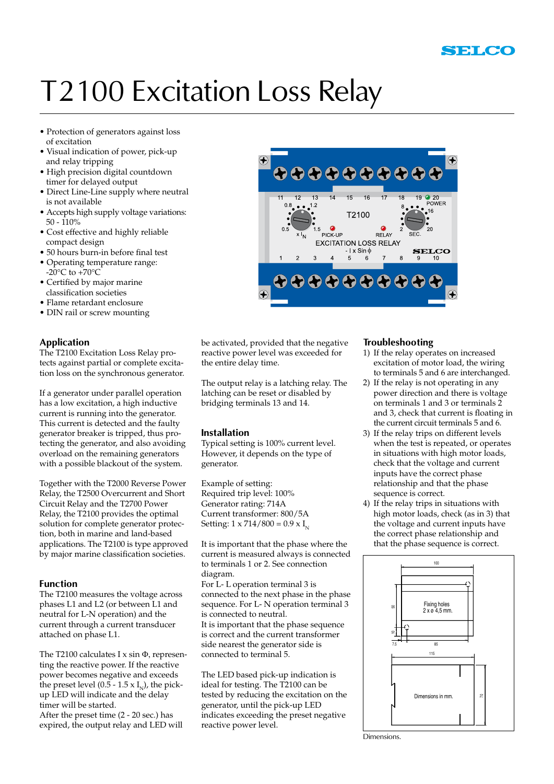# T2100 Excitation Loss Relay

- Protection of generators against loss of excitation
- Visual indication of power, pick-up and relay tripping
- High precision digital countdown timer for delayed output
- Direct Line-Line supply where neutral is not available
- Accepts high supply voltage variations: 50 - 110%
- Cost effective and highly reliable compact design
- 50 hours burn-in before final test
- Operating temperature range:  $-20^{\circ}$ C to  $+70^{\circ}$ C
- Certified by major marine classification societies
- Flame retardant enclosure
- DIN rail or screw mounting

# **Application**

The T2100 Excitation Loss Relay protects against partial or complete excitation loss on the synchronous generator.

If a generator under parallel operation has a low excitation, a high inductive current is running into the generator. This current is detected and the faulty generator breaker is tripped, thus protecting the generator, and also avoiding overload on the remaining generators with a possible blackout of the system.

Together with the T2000 Reverse Power Relay, the T2500 Overcurrent and Short Circuit Relay and the T2700 Power Relay, the T2100 provides the optimal solution for complete generator protection, both in marine and land-based applications. The T2100 is type approved by major marine classification societies.

# **Function**

The T2100 measures the voltage across phases L1 and L2 (or between L1 and neutral for L-N operation) and the current through a current transducer attached on phase L1.

The T2100 calculates I  $x \sin \Phi$ , representing the reactive power. If the reactive power becomes negative and exceeds the preset level (0.5 - 1.5 x  $I_N$ ), the pickup LED will indicate and the delay timer will be started. After the preset time (2 - 20 sec.) has expired, the output relay and LED will



be activated, provided that the negative reactive power level was exceeded for the entire delay time.

The output relay is a latching relay. The latching can be reset or disabled by bridging terminals 13 and 14.

### **Installation**

Typical setting is 100% current level. However, it depends on the type of generator.

Example of setting: Required trip level: 100% Generator rating: 714A Current transformer: 800/5A Setting:  $1 \times 714/800 = 0.9 \times I_{N}$ 

It is important that the phase where the current is measured always is connected to terminals 1 or 2. See connection diagram. For L- L operation terminal 3 is connected to the next phase in the phase sequence. For L- N operation terminal 3 is connected to neutral. It is important that the phase sequence is correct and the current transformer side nearest the generator side is connected to terminal 5.

The LED based pick-up indication is ideal for testing. The T2100 can be tested by reducing the excitation on the generator, until the pick-up LED indicates exceeding the preset negative reactive power level.

### **Troubleshooting**

- 1) If the relay operates on increased excitation of motor load, the wiring to terminals 5 and 6 are interchanged.
- 2) If the relay is not operating in any power direction and there is voltage on terminals 1 and 3 or terminals 2 and 3, check that current is floating in the current circuit terminals 5 and 6.
- 3) If the relay trips on different levels when the test is repeated, or operates in situations with high motor loads, check that the voltage and current inputs have the correct phase relationship and that the phase sequence is correct.
- 4) If the relay trips in situations with high motor loads, check (as in 3) that the voltage and current inputs have the correct phase relationship and that the phase sequence is correct.



Dimensions.